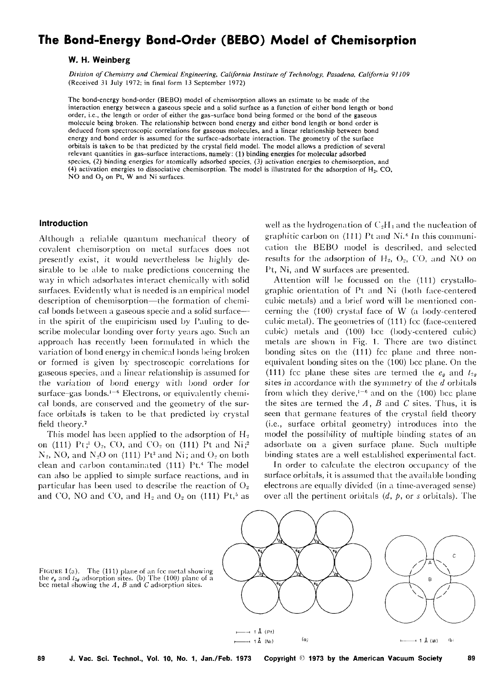# **The Bond-Energy Bond-Order (BEBO) Model of Chemisorption**

# **W. H. Weinberg**

*Di1•ision of Chemistry and Chemical Engineering, California Institute of Technology, Pasadena, California* 91109 (Received 31 July 1972; in final form 13 September 1972)

The bond-energy bond-order (BEBO) model of chemisorption allows an estimate to be made of the interaction energy between a gaseous specie and a solid surface as a function of either bond length or bond order, i.e., the length or order of either the gas-surface bond being formed or the bond of the gaseous molecule being broken. The relationship between bond energy and either bond length or bond order is deduced from spectroscopic correlations for gaseous molecules, and a linear relationship between bond energy and bond order is assumed for the surface-adsorbate interaction. The geometry of the surface orbitals is taken to be that predicted by the crystal field model. The model allows a prediction of several relevant quantities in gas-surface interactions, namely; (1) binding energies for molecular adsorbed species, (2) binding energies for atomically adsorbed species, (3) activation energies to chemisorption, and (4) activation energies to dissociative chemisorption. The model is illustrated for the adsorption of  $H<sub>2</sub>$ , CO, NO and  $O_2$  on Pt, W and Ni surfaces.

## **Introduction**

Although a reliable quantum mechanical theory of covalent chemisorption on metal surfaces does not presently exist, it would nevertheless be highly desirable to be able to make predictions concerning the way in which adsorbates interact chemically with solid surfaces. Evidently what is needed is an empirical model description of chemisorption—the formation of chemical bonds between a gaseous specie and a solid surfacein the spirit of the empiricism used by Pauling to describe molecular bonding over forty years ago. Such an approach has recently been formulated in which the variation of bond energy in chemical bonds being broken or formed is given by spectroscopic correlations for gaseous species, and a linear relationship is assumed for the variation of bond energy with bond order for surface-gas bonds. $1-6$  Electrons, or equivalently chemical bonds, are conserved and the geometry of the surface orbitals is taken to be that predicted by crystal field theory.<sup>7</sup>

This model has been applied to the adsorption of  $H_2$ on (111) Pt;<sup>1</sup> O<sub>2</sub>, CO, and CO<sub>2</sub> on (111) Pt and Ni;<sup>2</sup>  $N_2$ , NO, and  $N_2$ O on (111) Pt<sup>3</sup> and Ni; and O<sub>2</sub> on both clean and carbon contaminated (111) Pt.<sup>4</sup> The model can also be applied to simple surface reactions, and in particular has been used to describe the reaction of  $O<sub>2</sub>$ and CO, NO and CO, and  $H_2$  and  $O_2$  on (111) Pt,<sup>5</sup> as

well as the hydrogenation of  $C_2H_4$  and the nucleation of graphitic carbon on (111) Pt and Ni. *6* In this communication the BEBO model is described, and selected results for the adsorption of  $H_2$ ,  $O_2$ , CO, and NO on Pt, Ni, and W surfaces are presented.

Attention will be focussed on the (111) crystallographic orientation of Pt and Ni (both face-centered cubic metals) and a brief word will be mentioned concerning the  $(100)$  crystal face of W (a body-centered cubic metal). The geometries of (111) fcc (face-centered cubic) metals and (100) bee (body-centered cubic) metals are shown in Fig. 1. There are two distinct bonding sites on the (111) fcc plane and three nonequivalent bonding sites on the (100) bcc plane. On the (111) fcc plane these sites are termed the  $e_{q}$  and  $t_{2q}$ sites in accordance with the symmetry of the *d* orbitals from which they derive, $1-6$  and on the (100) bcc plane the sites are termed the *A, B* and C sites. Thus, it is seen that germane features of the crystal field theory (i.e., surface orbital geometry) introduces into the model the possibility of multiple binding states of an adsorbate on a given surface plane. Such multiple binding states are a well established experimental fact.

In order to calculate the electron occupancy of the surface orbitals, it is assumed that the available bonding electrons are equally divided (in a time-averaged sense) over all the pertinent orbitals (d, p, or *s* orbitals). The



FIGURE 1(a). The  $(111)$  plane of an fcc metal showing the  $e_0$  and  $i_{2g}$  adsorption sites. (b) The (100) plane of a bee metal showing the *A, B* and *C* adsorption sites.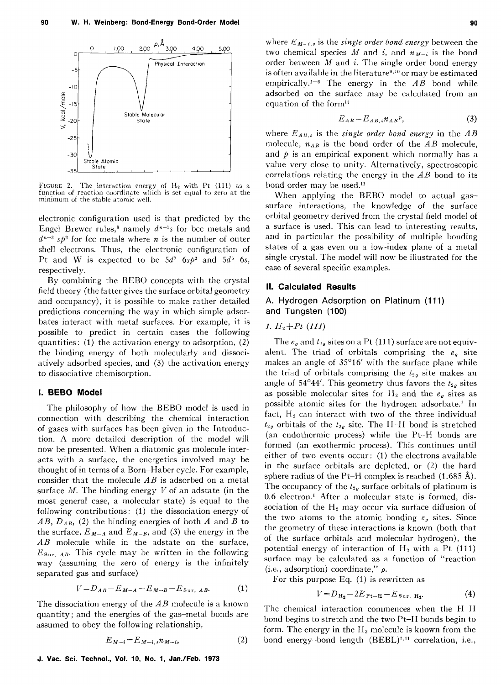

FIGURE 2. The interaction energy of  $H_2$  with Pt (111) as a function of reaction coordinate which is set equal to zero at the minimum of the stable atomic well.

electronic configuration used is that predicted by the Engel-Brewer rules,<sup>8</sup> namely  $d^{n-1}s$  for bcc metals and  $d^{n-3}$  sp<sup>2</sup> for fcc metals where *n* is the number of outer shell electrons. Thus, the electronic configuration of Pt and W is expected to be  $5d^7$   $6s^2$  and  $5d^5$  6s, respectively.

By combining the BEBO concepts with the crystal field theory (the latter gives the surface orbital geometry and occupancy), it is possible to make rather detailed predictions concerning the way in which simple adsorbates interact with metal surfaces. For example, it is possible to predict in certain cases the following quantities: (1) the activation energy to adsorption, (2) the binding energy of both molecularly and dissociatively adsorbed species, and (3) the activation energy to dissociative chemisorption.

## I. BEBO Model

The philosophy of how the BEBO model is used in connection with describing the chemical interaction of gases with surfaces has been given in the Introduction. A more detailed description of the model will now be presented. When a diatomic gas molecule interacts with a surface, the energetics involved may be thought of in terms of a Born-Haber cycle. For example, consider that the molecule *AB* is adsorbed on a metal surface *M.* The binding energy *V* of an adstate (in the most general case, a molecular state) is equal to the following contributions: (1) the dissociation energy of *AB, DAB,* (2) the binding energies of both *A* and *B* to the surface,  $E_{M-A}$  and  $E_{M-B}$ , and (3) the energy in the *AB* molecule while in the adstate on the surface,  $E_{\text{Sur, }AB}$ . This cycle may be written in the following way (assuming the zero of energy is the infinitely separated gas and surface)

$$
V = D_{AB} - E_{M-A} - E_{M-B} - E_{\text{Sur, }AB}.
$$
 (1)

The dissociation energy of the *AB* molecule is a known quantity; and the energies of the gas-metal bonds are assumed to obey the following relationship,

$$
E_{M-i} = E_{M-i,s} n_{M-i}, \qquad (2)
$$

where  $E_{M-i,s}$  is the *single order bond energy* between the two chemical species M and i, and  $n_{M-i}$  is the bond order between  $M$  and  $i$ . The single order bond energy is often available in the literature<sup>9,10</sup> or may be estimated empirically.<sup>1-6</sup> The energy in the  $AB$  bond while adsorbed on the surface may be calculated from an equation of the form<sup>11</sup>

$$
E_{AB} = E_{AB,s} n_{AB} r, \tag{3}
$$

where  $E_{AB,s}$  is the *single order bond energy* in the  $AB$ molecule,  $n_{AB}$  is the bond order of the  $AB$  molecule, and  $\phi$  is an empirical exponent which normally has a value very close to unity. Alternatively, spectroscopic correlations relating the energy in the *AB* bond to its bond order may be used.<sup>11</sup>

When applying the BEBO model to actual gassurface interactions, the knowledge of the surface orbital geometry derived from the crystal field model of a surface is used. This can lead to interesting results, and in particular the possibility of multiple bonding states of a gas even on a low-index plane of a metal single crystal. The model will now be illustrated for the case of several specific examples.

# II. Calculated Results

# A. Hydrogen Adsorption on Platinum (111) and Tungsten (100)

1.  $H_2+Pt(111)$ 

The  $e_{\theta}$  and  $t_{2\theta}$  sites on a Pt (111) surface are not equivalent. The triad of orbitals comprising the  $e_g$  site makes an angle of 35°16' with the surface plane while the triad of orbitals comprising the  $t_{2g}$  site makes an angle of 54°44'. This geometry thus favors the  $t_{2g}$  sites as possible molecular sites for  $H_2$  and the  $e_g$  sites as possible atomic sites for the hydrogen adsorbate.<sup>1</sup> In fact,  $H<sub>2</sub>$  can interact with two of the three individual  $t_{2g}$  orbitals of the  $t_{2g}$  site. The H-H bond is stretched (an endothermic process) while the Pt-H bonds are formed (an exothermic process). This continues until either of two events occur: (1) the electrons available in the surface orbitals are depleted, or (2) the hard sphere radius of the Pt–H complex is reached  $(1.685 \text{ Å})$ . The occupancy of the  $t_{2g}$  surface orbitals of platinum is  $0.6$  electron.<sup>1</sup> After a molecular state is formed, dissociation of the  $H_2$  may occur via surface diffusion of the two atoms to the atomic bonding  $e_{\rho}$  sites. Since the geometry of these interactions is known (both that of the surface orbitals and molecular hydrogen), the potential energy of interaction of  $H_2$  with a Pt (111) surface may be calculated as a function of "reaction (i.e., adsorption) coordinate," p.

For this purpose Eq. (1) is rewritten as

$$
V = D_{\mathrm{H}_2} - 2E_{\mathrm{Pt-H}} - E_{\mathrm{Sur, H}_2}.
$$
 (4)

The chemical interaction commences when the H-H bond begins to stretch and the two Pt-H bonds begin to form. The energy in the  $H_2$  molecule is known from the bond energy-bond length (BEBL)<sup>1,11</sup> correlation, i.e.,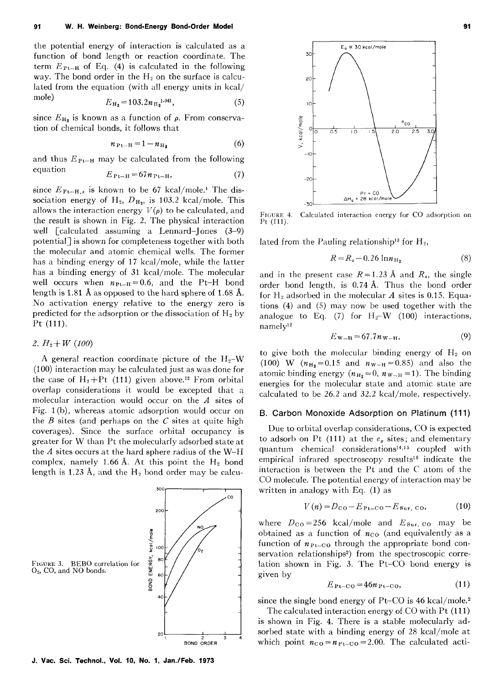the potential energy of interaction is calculated as a function of bond length or reaction coordinate. The term  $E_{P_{t-H}}$  of Eq. (4) is calculated in the following way. The bond order in the  $H_2$  on the surface is calculated from the equation (with all energy units in kcal/ mole)  $E_{\text{H}_2} = 103.2 n_{\text{H}_2}^{1.041}$ , (5)

$$
E_{\mathrm{H}_2} = 103.2 n_{\mathrm{H}_2}^{1.041},\tag{5}
$$

since  $E_{H_2}$  is known as a function of  $\rho$ . From conservation of chemical bonds, it follows that

$$
n_{\mathrm{Pt-H}} = 1 - n_{\mathrm{H}_2} \tag{6}
$$

and thus  $E_{Pt-H}$  may be calculated from the following equation  $E_{\text{Pt-H}} = 67n_{\text{Pt-H}},$  (7)

$$
E_{\mathrm{Pt-H}} = 67n_{\mathrm{Pt-H}},\tag{7}
$$

since  $E_{Pt-H,s}$  is known to be 67 kcal/mole.<sup>1</sup> The dissociation energy of H<sub>2</sub>,  $D_{\text{H}_2}$ , is 103.2 kcal/mole. This allows the interaction energy  $V(\rho)$  to be calculated, and the result is shown in Fig. 2. The physical interaction well [calculated assuming a Lennard-Jones (3-9) potential] is shown for completeness together with both the molecular and atomic chemical wells. The former has a binding energy of 17 kcal/mole, while the latter has a binding energy of 31 kcal/mole. The molecular well occurs when  $n_{Pt-H} = 0.6$ , and the Pt-H bond length is 1.81 A as opposed to the hard sphere of 1.68 A. No activation energy relative to the energy zero is predicted for the adsorption or the dissociation of  $H_2$  by Pt **(111).** 

# 2.  $H_2+W(100)$

A general reaction coordinate picture of the  $H_2-W$ (100) interaction may be calculated just as was done for the case of  $H_2+Pt$  (111) given above.<sup>12</sup> From orbital overlap considerations it would be excepted that a molecular interaction would occur on the *A* sites of Fig. **1** (b), whereas atomic adsorption would occur on the *B* sites (and perhaps on the *C* sites at quite high coverages). Since the surface orbital occupancy is greater for W than Pt the molecularly adsorbed state at the *A* sites occurs at the hard sphere radius of the W-H complex, namely 1.66 Å. At this point the  $H_2$  bond length is 1.23 Å, and the  $H_2$  bond order may be calcu-

 $300$ 

BOND ORDER





FIGURE 4. Calculated interaction energy for CO adsorption on Pt (111).

lated from the Pauling relationship<sup>13</sup> for  $H_2$ ,

$$
R = R_s - 0.26 \ln n_{\rm H_2} \tag{8}
$$

and in the present case  $R = 1.23$  Å and  $R_s$ , the single order bond length, is 0. 74 A. Thus the bond order for  $H_2$  adsorbed in the molecular  $A$  sites is 0.15. Equations (4) and (5) may now be used together with the analogue to Eq. (7) for  $H_2-W$  (100) interactions,  $namely<sup>12</sup>$ 

$$
E_{\rm W-H} = 67.7 n_{\rm W-H}, \tag{9}
$$

to give both the molecular binding energy of  $H<sub>2</sub>$  on (100) W  $(n_{\text{H}_2} = 0.15 \text{ and } n_{\text{W-H}} = 0.85)$  and also the atomic binding energy  $(n_{\text{H}_2}=0, n_{\text{W-H}}=1)$ . The binding energies for the molecular state and atomic state are calculated to be 26.2 and 32.2 kcal/mole, respectively.

## **B. Carbon Monoxide Adsorption on Platinum (111)**

Due to orbital overlap considerations, CO is expected to adsorb on Pt  $(111)$  at the  $e_g$  sites; and elementary quantum chemical considerations<sup>14,15</sup> coupled with empirical infrared spectroscopy results<sup>16</sup> indicate the interaction is between the Pt and the C atom of the CO molecule. The potential energy of interaction may be written in analogy with Eq. (1) as

$$
V(n) = D_{\text{CO}} - E_{\text{Pt-CO}} - E_{\text{Sur, CO}},
$$
 (10)

where  $D_{\text{CO}} = 256$  kcal/mole and  $E_{\text{Sur, CO}}$  may be obtained as a function of *nco* (and equivalently as a function of  $n_{Pt-CO}$  through the appropriate bond conservation relationships<sup>2</sup>) from the spectroscopic correlation shown in Fig. 3. The Pt– $CO$  bond energy is given by

$$
E_{\text{Pt-CO}} = 46n_{\text{Pt-CO}},\tag{11}
$$

since the single bond energy of Pt–CO is 46 kcal/mole.<sup>2</sup>

The calculated interaction energy of CO with Pt ( **111)**  is shown in Fig. 4. There is a stable molecularly adsorbed state with a binding energy of 28 kcal/mole at which point  $n_{\text{CO}} = n_{\text{Pt-CO}} = 2.00$ . The calculated acti-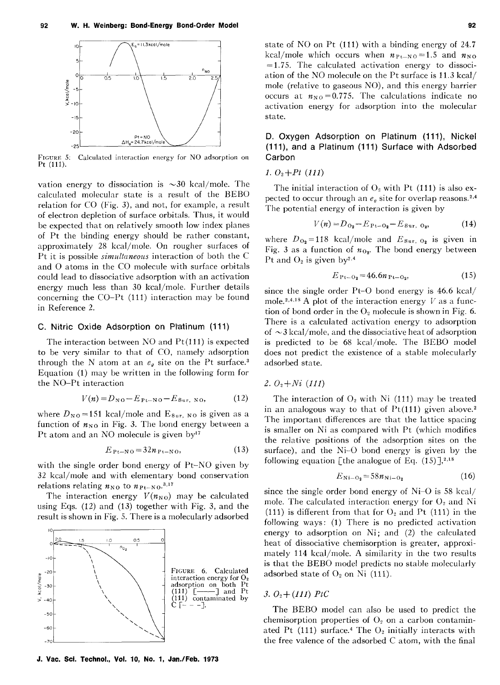

FIGURE 5: Calculated interaction energy for NO adsorption on Pt (111).

vation energy to dissociation is  $\sim$ 30 kcal/mole. The calculated molecular state is a result of the BEBO relation for CO (Fig. 3), and not, for example, a result of electron depletion of surface orbitals. Thus, it would be expected that on relatively smooth low index planes of Pt the binding energy should be rather constant, approximately 28 kcal/mole. On rougher surfaces of Pt it is possible *simultaneous* interaction of both the C and 0 atoms in the CO molecule with surface orbitals could lead to dissociative adsorption with an activation energy much less than 30 kcal/mole. Further details concerning the CO-Pt (111) interaction may be found in Reference 2.

#### C. Nitric Oxide Adsorption on Platinum (111)

The interaction between NO and Pt(111) is expected to be very similar to that of CO, namely adsorption through the N atom at an  $e_{q}$  site on the Pt surface.<sup>3</sup> Equation (1) may be written in the following form for the NO-Pt interaction

$$
V(n) = D_{N0} - E_{Pt-NO} - E_{Sur, NO}, \qquad (12)
$$

where  $D_{N0}$ =151 kcal/mole and  $E_{\text{Sur, NO}}$  is given as a function of  $n_{NQ}$  in Fig. 3. The bond energy between a Pt atom and an NO molecule is given by<sup>17</sup>

$$
E_{\text{Pt-NO}} = 32n_{\text{Pt-NO}},\tag{13}
$$

with the single order bond energy of Pt-NO given by 32 kcal/mole and with elementary bond conservation relations relating  $n_{\text{NO}}$  to  $n_{\text{Pt-NO}}$ .<sup>3,17</sup>

The interaction energy  $V(n_{N0})$  may be calculated using Eqs. (12) and (13) together with Fig. 3, and the result is shown in Fig. 5. There is a molecularly adsorbed



J. Vac. Sci. Techno!., Vol. 10, No. 1, Jan./Feb. 1973

state of NO on Pt (111) with a binding energy of 24.7 kcal/mole which occurs when  $n_{Pt-NO} = 1.5$  and  $n_{NO}$  $= 1.75$ . The calculated activation energy to dissociation of the NO molecule on the Pt surface is 11.3 kcal/ mole (relative to gaseous NO), and this energy barrier occurs at  $n_{NQ} = 0.775$ . The calculations indicate no activation energy for adsorption into the molecular

# D. Oxygen Adsorption on Platinum (111), Nickel (111), and a Platinum (111) Surface with Adsorbed Carbon

## 1.  $O_2$ + $Pt$  (111)

state.

The initial interaction of  $O_2$  with Pt (111) is also expected to occur through an  $e_g$  site for overlap reasons.<sup>2,4</sup> The potential energy of interaction is given by

$$
V(n) = D_{02} - E_{P1 - O2} - E_{Sur, O2},
$$
 (14)

where  $D_{Q_2}$ =118 kcal/mole and  $E_{Surr, Q_2}$  is given in Fig. 3 as a function of  $n_{0<sub>2</sub>}$ . The bond energy between Pt and  $O_2$  is given by<sup>2,4</sup>

$$
E_{\text{Pt}-\text{O}_2} = 46.6n_{\text{Pt}-\text{O}_2},\tag{15}
$$

since the single order Pt-0 bond energy is 46.6 kcal/ mole.<sup>2,4,18</sup> A plot of the interaction energy  $V$  as a function of bond order in the  $O_2$  molecule is shown in Fig. 6. There is a calculated activation energy to adsorption of  $\sim$ 3 kcal/mole, and the dissociative heat of adsorption is predicted to be 68 kcal/mole. The BEBO model does not predict the existence of a stable molecularly adsorbed state.

#### 2.  $O_2 + Ni$  (111)

The interaction of  $O<sub>2</sub>$  with Ni (111) may be treated in an analogous way to that of  $Pt(111)$  given above.<sup>2</sup> The important differences are that the lattice spacing is smaller on Ni as compared with Pt (which modifies the relative positions of the adsorption sites on the surface), and the Ni-0 bond energy is given by the following equation [the analogue of Eq.  $(15)$ ],<sup>2,18</sup>

$$
E_{\mathrm{Ni}-\mathrm{O}_2} = 58n_{\mathrm{Ni}-\mathrm{O}_2} \tag{16}
$$

since the single order bond energy of Ni-0 is 58 kcal/ mole. The calculated interaction energy for  $O<sub>2</sub>$  and Ni (111) is different from that for  $O_2$  and Pt (111) in the following ways: (1) There is no predicted activation energy to adsorption on Ni; and (2) the calculated heat of dissociative chemisorption is greater, approximately 114 kcal/mole. A similarity in the two results is that the BEBO model predicts no stable molecularly adsorbed state of  $O_2$  on Ni (111).

## 3.  $O_2 + (111)$  PtC

The BEBO model can also be used to predict the chemisorption properties of  $O<sub>2</sub>$  on a carbon contaminated Pt  $(111)$  surface.<sup>4</sup> The  $O<sub>2</sub>$  initially interacts with the free valence of the adsorbed C atom, with the final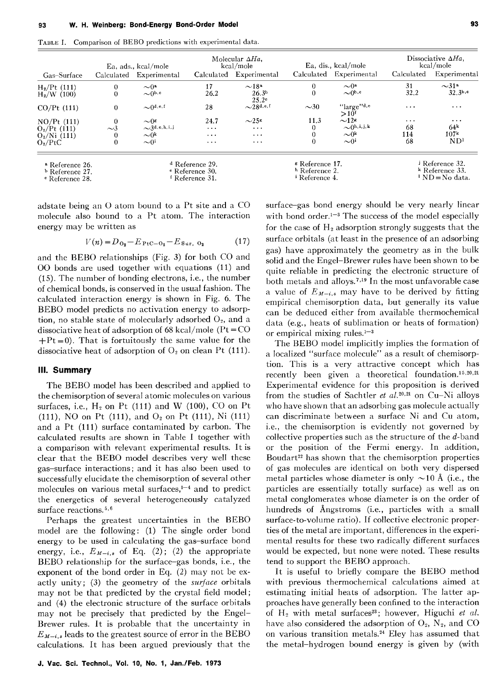TABLE I. Comparison of BEBO predictions with experimental data.

|                                                                                        | Ea, ads., kcal/mole |                                                                                        | Molecular $\Delta Ha$ ,<br>kcal/mole |                                                                                      | Ea, dis., kcal/mole |                                                                                                                   | Dissociative $\Delta Ha$ .<br>kcal/mole |                        |
|----------------------------------------------------------------------------------------|---------------------|----------------------------------------------------------------------------------------|--------------------------------------|--------------------------------------------------------------------------------------|---------------------|-------------------------------------------------------------------------------------------------------------------|-----------------------------------------|------------------------|
| Gas-Surface                                                                            | Calculated          | Experimental                                                                           |                                      | Calculated Experimental                                                              | Calculated          | Experimental                                                                                                      | Calculated                              | Experimental           |
| $H_2/Pt$ (111)                                                                         | $\theta$            | $\sim 0^a$                                                                             | 17                                   | ~18 <sup>a</sup>                                                                     | $\theta$            | $\sim 0^{\rm a}$                                                                                                  | 31                                      | $\sim$ 31 <sup>a</sup> |
| $H_2/W$ (100)                                                                          |                     | $\sim$ 0 <sup>b, c</sup>                                                               | 26.2                                 | 26.3 <sup>b</sup><br>25.2 <sup>c</sup>                                               | $\theta$            | $\sim 0^{b,c}$                                                                                                    | 32.2                                    | 32.3 <sup>b,e</sup>    |
| $CO/Pt$ (111)                                                                          | $\theta$            | $\sim 0$ d, e, f                                                                       | 28                                   | $\sim$ 28 <sup>d,e,f</sup>                                                           | $\sim$ 30           | $"large"^{d,e}$<br>>10 <sup>f</sup>                                                                               | $\cdot$                                 | $\cdots$               |
| $NO/Pt$ (111)                                                                          | $\theta$            | $\sim 0$                                                                               | 24.7                                 | $\sim$ 25g                                                                           | 11.3                | $\sim$ 12 $\epsilon$                                                                                              | $\cdots$                                | $\cdots$               |
| $O_2$ /Pt (111)                                                                        | $\sim$ 3            | $\sim$ 3d, e, h, i, j                                                                  | $\cdots$                             | $\cdots$                                                                             | 0                   | $\sim 0$ h, i, j, k                                                                                               | 68                                      | 64 <sup>k</sup>        |
| $O_2/Ni$ (111)                                                                         |                     | $\sim 0^k$                                                                             | $\cdots$                             | $\cdots$                                                                             | 0                   | $\sim$ 0 <sup>k</sup>                                                                                             | 114                                     | 107 <sup>k</sup>       |
| $O_2/PtC$                                                                              |                     | $\sim 0^{1}$                                                                           | $\cdots$                             | $\cdot$                                                                              | $\Omega$            | $\sim 0$ <sup>i</sup>                                                                                             | 68                                      | ND <sup>1</sup>        |
| <sup>a</sup> Reference 26.<br><sup>b</sup> Reference 27.<br><sup>e</sup> Reference 28. |                     | <sup>d</sup> Reference 29.<br><sup>e</sup> Reference 30.<br><sup>f</sup> Reference 31. |                                      | <sup>g</sup> Reference 17.<br><sup>h</sup> Reference 2.<br><sup>1</sup> Reference 4. |                     | <sup>j</sup> Reference 32.<br><sup>k</sup> Reference 33.<br>$\mathbf{N} \mathbf{D} = \mathbf{N} \mathbf{o}$ data. |                                         |                        |

adstate being an 0 atom bound to a Pt site and a CO molecule also bound to a Pt atom. The interaction energy may be written as

$$
V(n) = D_{\mathbf{O}_2} - E_{\text{PtC}-\mathbf{O}_2} - E_{\text{Sur, O}_2}
$$
 (17)

and the BEBO relationships (Fig. 3) for both CO and 00 bonds are used together with equations (11) and (15). The number of bonding electrons, i.e., the number of chemical bonds, is conserved in the usual fashion. The calculated interaction energy is shown in Fig. 6. The BEBO model predicts no activation energy to adsorption, no stable state of molecularly adsorbed *Oz,* and a dissociative heat of adsorption of 68 kcal/mole ( $Pt = CO$ )  $+Pt = 0$ . That is fortuitously the same value for the dissociative heat of adsorption of *Oz* on clean Pt (111).

## **Ill. Summary**

The BEBO model has been described and applied to the chemisorption of several atomic molecules on various surfaces, i.e.,  $H_2$  on Pt (111) and W (100), CO on Pt (111), NO on Pt (111), and *Oz* on Pt (111), Ni (111) and a Pt (111) surface contaminated by carbon. The calculated results are shown in Table I together with a comparison with relevant experimental results. It is clear that the BEBO model describes very well these gas-surface interactions; and it has also been used to successfully elucidate the chemisorption of several other molecules on various metal surfaces, $1-4$  and to predict the energetics of several heterogeneously catalyzed surface reactions.<sup>5,6</sup>

Perhaps the greatest uncertainties in the BEBO model are the following: (1) The single order bond energy to be used in calculating the gas-surface bond energy, i.e.,  $E_{M-i,s}$  of Eq. (2); (2) the appropriate BEBO relationship for the surface-gas bonds, i.e., the exponent of the bond order in Eq. (2) may not be exactly unity; (3) the geometry of the *surface* orbitals may not be that predicted by the crystal field model; and (4) the electronic structure of the surface orbitals may not be precisely that predicted by the Engel-Brewer rules. It is probable that the uncertainty in  $E_{M-i,s}$  leads to the greatest source of error in the BEBO calculations. It has been argued previously that the surface-gas bond energy should be very nearly linear with bond order. $1-3$  The success of the model especially for the case of  $H_2$  adsorption strongly suggests that the surface orbitals (at least in the presence of an adsorbing gas) have approximately the geometry as in the bulk solid and the Engel-Brewer rules have been shown to be quite reliable in predicting the electronic structure of both metals and alloys.<sup>7,19</sup> In the most unfavorable case a value of  $E_{M-i,s}$  may have to be derived by fitting empirical chemisorption data, but generally its value can be deduced either from available thermochemical data (e.g., heats of sublimation or heats of formation) or empirical mixing rules. $1-3$ 

The BEBO model implicitly implies the formation of a localized "surface molecule" as a result of chemisorption. This is a very attractive concept which has recently been given a theoretical foundation.<sup>15,20,21</sup> Experimental evidence for this proposition is derived from the studies of Sachtler *et al.*<sup>20,21</sup> on Cu-Ni alloys who have shown that an adsorbing gas molecule actually can discriminate between a surface Ni and Cu atom, i.e., the chemisorption is evidently not governed by collective properties such as the structure of the  $d$ -band or the position of the Fermi energy. In addition, Boudart<sup>22</sup> has shown that the chemisorption properties of gas molecules are identical on both very dispersed metal particles whose diameter is only  $\sim$ 10 Å (i.e., the particles are essentially totally surface) as well as on metal conglomerates whose diameter is on the order of hundreds of Angstroms (i.e., particles with a small surface-to-volume ratio). If collective electronic properties of the metal are important, differences in the experimental results for these two radically different surfaces would be expected, but none were noted. These results tend to support the BEBO approach.

It is useful to briefly compare the BEBO method with previous thermochemical calculations aimed at estimating initial heats of adsorption. The latter approaches have generally been confined to the interaction of H<sub>2</sub> with metal surfaces<sup>23</sup>; however, Higuchi et al. have also considered the adsorption of  $O_2$ ,  $N_2$ , and CO on various transition metals.<sup>24</sup> Eley has assumed that the metal-hydrogen bound energy is given by (with